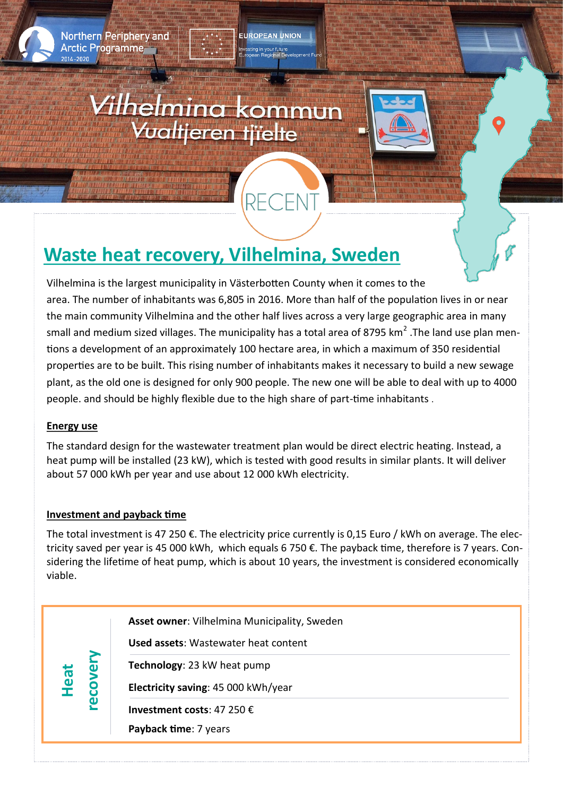

**Northern Periphery and Arctic Programme** 

# *Vilhelmina* kommun<br>Vualtjeren tjielte



# **Waste heat recovery, Vilhelmina, Sweden**

Vilhelmina is the largest municipality in Västerbotten County when it comes to the area. The number of inhabitants was 6,805 in 2016. More than half of the population lives in or near the main community Vilhelmina and the other half lives across a very large geographic area in many small and medium sized villages. The municipality has a total area of 8795 km<sup>2</sup> .The land use plan mentions a development of an approximately 100 hectare area, in which a maximum of 350 residential properties are to be built. This rising number of inhabitants makes it necessary to build a new sewage plant, as the old one is designed for only 900 people. The new one will be able to deal with up to 4000 people. and should be highly flexible due to the high share of part-time inhabitants .

EUROPEAN UNION

RECEI

## **Energy use**

The standard design for the wastewater treatment plan would be direct electric heating. Instead, a heat pump will be installed (23 kW), which is tested with good results in similar plants. It will deliver about 57 000 kWh per year and use about 12 000 kWh electricity.

### **Investment and payback time**

The total investment is 47 250  $\epsilon$ . The electricity price currently is 0,15 Euro / kWh on average. The electricity saved per year is 45 000 kWh, which equals 6 750 €. The payback time, therefore is 7 years. Considering the lifetime of heat pump, which is about 10 years, the investment is considered economically viable.

| Heat | $\boldsymbol{\omega}$<br>8<br>ၑ | <b>Asset owner:</b> Vilhelmina Municipality, Sweden<br><b>Used assets:</b> Wastewater heat content<br>Technology: 23 kW heat pump<br>Electricity saving: 45 000 kWh/year |
|------|---------------------------------|--------------------------------------------------------------------------------------------------------------------------------------------------------------------------|
|      |                                 | Investment costs: 47 250 $\epsilon$<br>Payback time: 7 years                                                                                                             |